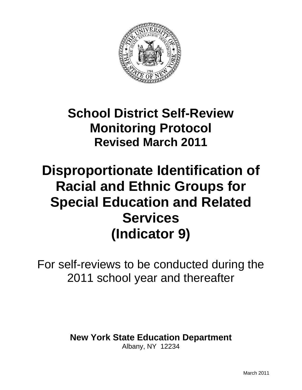

# **School District Self-Review Monitoring Protocol Revised March 2011**

# **Disproportionate Identification of Racial and Ethnic Groups for Special Education and Related Services (Indicator 9)**

For self-reviews to be conducted during the 2011 school year and thereafter

> **New York State Education Department**  Albany, NY 12234

> > March 2011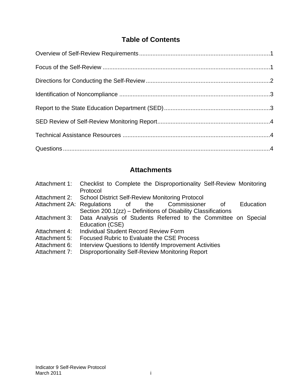# **Table of Contents**

# **Attachments**

| Checklist to Complete the Disproportionality Self-Review Monitoring<br>Protocol |
|---------------------------------------------------------------------------------|
| Attachment 2: School District Self-Review Monitoring Protocol                   |
| Attachment 2A: Regulations of the Commissioner<br>Education<br>0f               |
| Section 200.1(zz) – Definitions of Disability Classifications                   |
| Data Analysis of Students Referred to the Committee on Special                  |
| Education (CSE)                                                                 |
| <b>Individual Student Record Review Form</b>                                    |
| <b>Focused Rubric to Evaluate the CSE Process</b>                               |
| <b>Interview Questions to Identify Improvement Activities</b>                   |
| Disproportionality Self-Review Monitoring Report                                |
|                                                                                 |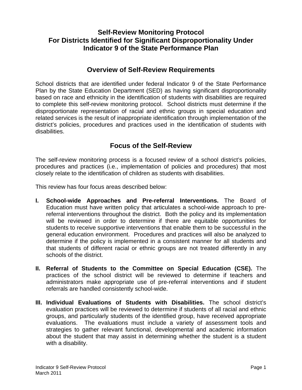# **Self-Review Monitoring Protocol For Districts Identified for Significant Disproportionality Under Indicator 9 of the State Performance Plan**

# **Overview of Self-Review Requirements**

School districts that are identified under federal Indicator 9 of the State Performance Plan by the State Education Department (SED) as having significant disproportionality based on race and ethnicity in the identification of students with disabilities are required to complete this self-review monitoring protocol. School districts must determine if the disproportionate representation of racial and ethnic groups in special education and related services is the result of inappropriate identification through implementation of the district's policies, procedures and practices used in the identification of students with disabilities.

# **Focus of the Self-Review**

The self-review monitoring process is a focused review of a school district's policies, procedures and practices (i.e., implementation of policies and procedures) that most closely relate to the identification of children as students with disabilities.

This review has four focus areas described below:

- **I. School-wide Approaches and Pre-referral Interventions.** The Board of Education must have written policy that articulates a school-wide approach to prereferral interventions throughout the district. Both the policy and its implementation will be reviewed in order to determine if there are equitable opportunities for students to receive supportive interventions that enable them to be successful in the general education environment. Procedures and practices will also be analyzed to determine if the policy is implemented in a consistent manner for all students and that students of different racial or ethnic groups are not treated differently in any schools of the district.
- **II. Referral of Students to the Committee on Special Education (CSE).** The practices of the school district will be reviewed to determine if teachers and administrators make appropriate use of pre-referral interventions and if student referrals are handled consistently school-wide.
- **III. Individual Evaluations of Students with Disabilities.** The school district's evaluation practices will be reviewed to determine if students of all racial and ethnic groups, and particularly students of the identified group, have received appropriate evaluations. The evaluations must include a variety of assessment tools and strategies to gather relevant functional, developmental and academic information about the student that may assist in determining whether the student is a student with a disability.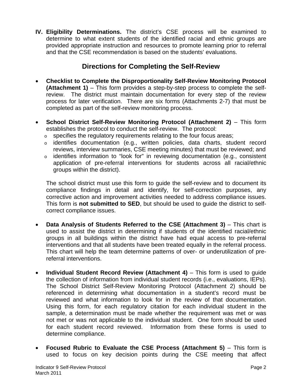**IV. Eligibility Determinations.** The district's CSE process will be examined to determine to what extent students of the identified racial and ethnic groups are provided appropriate instruction and resources to promote learning prior to referral and that the CSE recommendation is based on the students' evaluations.

# **Directions for Completing the Self-Review**

- **Checklist to Complete the Disproportionality Self-Review Monitoring Protocol (Attachment 1)** – This form provides a step-by-step process to complete the selfreview. The district must maintain documentation for every step of the review process for later verification. There are six forms (Attachments 2-7) that must be completed as part of the self-review monitoring process.
- **School District Self-Review Monitoring Protocol (Attachment 2)** This form establishes the protocol to conduct the self-review. The protocol:
	- o specifies the regulatory requirements relating to the four focus areas;
	- o identifies documentation (e.g., written policies, data charts, student record reviews, interview summaries, CSE meeting minutes) that must be reviewed; and
	- o identifies information to "look for" in reviewing documentation (e.g., consistent application of pre-referral interventions for students across all racial/ethnic groups within the district).

 The school district must use this form to guide the self-review and to document its compliance findings in detail and identify, for self-correction purposes, any corrective action and improvement activities needed to address compliance issues. This form is **not submitted to SED**, but should be used to guide the district to selfcorrect compliance issues.

- **Data Analysis of Students Referred to the CSE (Attachment 3)** This chart is used to assist the district in determining if students of the identified racial/ethnic groups in all buildings within the district have had equal access to pre-referral interventions and that all students have been treated equally in the referral process. This chart will help the team determine patterns of over- or underutilization of prereferral interventions.
- **Individual Student Record Review (Attachment 4)** This form is used to guide the collection of information from individual student records (i.e., evaluations, IEPs). The School District Self-Review Monitoring Protocol (Attachment 2) should be referenced in determining what documentation in a student's record must be reviewed and what information to look for in the review of that documentation. Using this form, for each regulatory citation for each individual student in the sample, a determination must be made whether the requirement was met or was not met or was not applicable to the individual student. One form should be used for each student record reviewed. Information from these forms is used to determine compliance.
- **Focused Rubric to Evaluate the CSE Process (Attachment 5)** This form is used to focus on key decision points during the CSE meeting that affect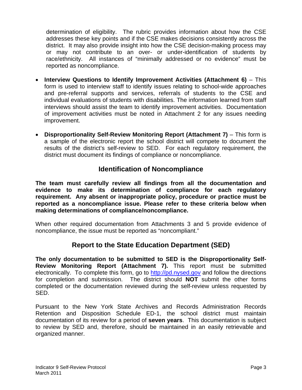determination of eligibility. The rubric provides information about how the CSE addresses these key points and if the CSE makes decisions consistently across the district. It may also provide insight into how the CSE decision-making process may or may not contribute to an over- or under-identification of students by race/ethnicity. All instances of "minimally addressed or no evidence" must be reported as noncompliance.

- **Interview Questions to Identify Improvement Activities (Attachment 6)** This form is used to interview staff to identify issues relating to school-wide approaches and pre-referral supports and services, referrals of students to the CSE and individual evaluations of students with disabilities. The information learned from staff interviews should assist the team to identify improvement activities. Documentation of improvement activities must be noted in Attachment 2 for any issues needing improvement.
- **Disproportionality Self-Review Monitoring Report (Attachment 7)** This form is a sample of the electronic report the school district will compete to document the results of the district's self-review to SED. For each regulatory requirement, the district must document its findings of compliance or noncompliance.

# **Identification of Noncompliance**

**The team must carefully review all findings from all the documentation and evidence to make its determination of compliance for each regulatory requirement. Any absent or inappropriate policy, procedure or practice must be reported as a noncompliance issue. Please refer to these criteria below when making determinations of compliance/noncompliance.** 

When other required documentation from Attachments 3 and 5 provide evidence of noncompliance, the issue must be reported as "noncompliant."

# **Report to the State Education Department (SED)**

**The only documentation to be submitted to SED is the Disproportionality Self-Review Monitoring Report (Attachment 7).** This report must be submitted electronically. To complete this form, go to [http://pd.nysed.gov](http://pd.nysed.gov/) and follow the directions for completion and submission. The district should **NOT** submit the other forms completed or the documentation reviewed during the self-review unless requested by SED.

Pursuant to the New York State Archives and Records Administration Records Retention and Disposition Schedule ED-1, the school district must maintain documentation of its review for a period of **seven years**. This documentation is subject to review by SED and, therefore, should be maintained in an easily retrievable and organized manner.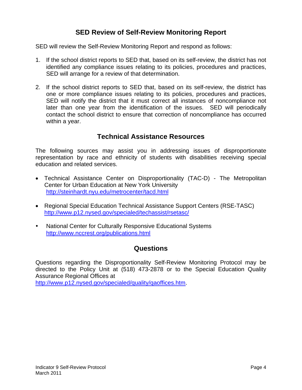# **SED Review of Self-Review Monitoring Report**

SED will review the Self-Review Monitoring Report and respond as follows:

- 1. If the school district reports to SED that, based on its self-review, the district has not identified any compliance issues relating to its policies, procedures and practices, SED will arrange for a review of that determination.
- 2. If the school district reports to SED that, based on its self-review, the district has one or more compliance issues relating to its policies, procedures and practices, SED will notify the district that it must correct all instances of noncompliance not later than one year from the identification of the issues. SED will periodically contact the school district to ensure that correction of noncompliance has occurred within a year.

# **Technical Assistance Resources**

The following sources may assist you in addressing issues of disproportionate representation by race and ethnicity of students with disabilities receiving special education and related services.

- Technical Assistance Center on Disproportionality (TAC-D) The Metropolitan Center for Urban Education at New York University <http://steinhardt.nyu.edu/metrocenter/tacd.html>
- Regional Special Education Technical Assistance Support Centers (RSE-TASC) <http://www.p12.nysed.gov/specialed/techassist/rsetasc/>
- National Center for Culturally Responsive Educational Systems <http://www.nccrest.org/publications.html>

### **Questions**

Questions regarding the Disproportionality Self-Review Monitoring Protocol may be directed to the Policy Unit at (518) 473-2878 or to the Special Education Quality Assurance Regional Offices at

<http://www.p12.nysed.gov/specialed/quality/qaoffices.htm>.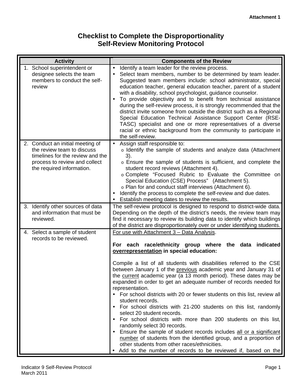# **Checklist to Complete the Disproportionality Self-Review Monitoring Protocol**

| <b>Activity</b>                                                                                                                                                  | <b>Components of the Review</b>                                                                                                                                                                                                                                                                                                                                                                                                                                                                                                                                                                                                                                                                                                                                                                                                                                                                                                                                                                                             |
|------------------------------------------------------------------------------------------------------------------------------------------------------------------|-----------------------------------------------------------------------------------------------------------------------------------------------------------------------------------------------------------------------------------------------------------------------------------------------------------------------------------------------------------------------------------------------------------------------------------------------------------------------------------------------------------------------------------------------------------------------------------------------------------------------------------------------------------------------------------------------------------------------------------------------------------------------------------------------------------------------------------------------------------------------------------------------------------------------------------------------------------------------------------------------------------------------------|
| 1. School superintendent or<br>designee selects the team<br>members to conduct the self-<br>review                                                               | Identify a team leader for the review process.<br>Select team members, number to be determined by team leader.<br>Suggested team members include: school administrator, special<br>education teacher, general education teacher, parent of a student<br>with a disability, school psychologist, guidance counselor.<br>To provide objectivity and to benefit from technical assistance<br>during the self-review process, it is strongly recommended that the<br>district invite someone from outside the district such as a Regional<br>Special Education Technical Assistance Support Center (RSE-<br>TASC) specialist and one or more representatives of a diverse<br>racial or ethnic background from the community to participate in<br>the self-review.                                                                                                                                                                                                                                                               |
| 2. Conduct an initial meeting of<br>the review team to discuss<br>timelines for the review and the<br>process to review and collect<br>the required information. | Assign staff responsible to:<br>$\bullet$<br>o Identify the sample of students and analyze data (Attachment<br>3).<br>o Ensure the sample of students is sufficient, and complete the<br>student record reviews (Attachment 4).<br>o Complete "Focused Rubric to Evaluate the Committee on<br>Special Education (CSE) Process" (Attachment 5).<br>o Plan for and conduct staff interviews (Attachment 6).<br>Identify the process to complete the self-review and due dates.<br>Establish meeting dates to review the results.                                                                                                                                                                                                                                                                                                                                                                                                                                                                                              |
| 3. Identify other sources of data<br>and information that must be<br>reviewed.                                                                                   | The self-review protocol is designed to respond to district-wide data.<br>Depending on the depth of the district's needs, the review team may<br>find it necessary to review its building data to identify which buildings<br>of the district are disproportionately over or under identifying students.                                                                                                                                                                                                                                                                                                                                                                                                                                                                                                                                                                                                                                                                                                                    |
| 4. Select a sample of student<br>records to be reviewed.                                                                                                         | For use with Attachment 3 - Data Analysis.<br>For each race/ethnicity group where the data indicated<br>overrepresentation in special education:<br>Compile a list of all students with disabilities referred to the CSE<br>between January 1 of the previous academic year and January 31 of<br>the current academic year (a 13 month period). These dates may be<br>expanded in order to get an adequate number of records needed for<br>representation.<br>• For school districts with 20 or fewer students on this list, review all<br>student records.<br>For school districts with 21-200 students on this list, randomly<br>select 20 student records.<br>For school districts with more than 200 students on this list,<br>randomly select 30 records.<br>• Ensure the sample of student records includes all or a significant<br>number of students from the identified group, and a proportion of<br>other students from other races/ethnicities.<br>Add to the number of records to be reviewed if, based on the |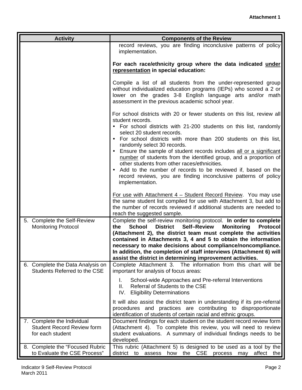| <b>Activity</b>                                                                     | <b>Components of the Review</b>                                                                                                                                                                                                                                                                                                                                                                                                                                                                                    |
|-------------------------------------------------------------------------------------|--------------------------------------------------------------------------------------------------------------------------------------------------------------------------------------------------------------------------------------------------------------------------------------------------------------------------------------------------------------------------------------------------------------------------------------------------------------------------------------------------------------------|
|                                                                                     | record reviews, you are finding inconclusive patterns of policy<br>implementation.                                                                                                                                                                                                                                                                                                                                                                                                                                 |
|                                                                                     | For each race/ethnicity group where the data indicated under<br>representation in special education:                                                                                                                                                                                                                                                                                                                                                                                                               |
|                                                                                     | Compile a list of all students from the under-represented group<br>without individualized education programs (IEPs) who scored a 2 or<br>lower on the grades 3-8 English language arts and/or math<br>assessment in the previous academic school year.                                                                                                                                                                                                                                                             |
|                                                                                     | For school districts with 20 or fewer students on this list, review all<br>student records.<br>• For school districts with 21-200 students on this list, randomly<br>select 20 student records.                                                                                                                                                                                                                                                                                                                    |
|                                                                                     | For school districts with more than 200 students on this list,<br>randomly select 30 records.                                                                                                                                                                                                                                                                                                                                                                                                                      |
|                                                                                     | Ensure the sample of student records includes all or a significant<br>number of students from the identified group, and a proportion of<br>other students from other races/ethnicities.                                                                                                                                                                                                                                                                                                                            |
|                                                                                     | Add to the number of records to be reviewed if, based on the<br>record reviews, you are finding inconclusive patterns of policy<br>implementation.                                                                                                                                                                                                                                                                                                                                                                 |
|                                                                                     | For use with Attachment 4 - Student Record Review. You may use<br>the same student list compiled for use with Attachment 3, but add to<br>the number of records reviewed if additional students are needed to<br>reach the suggested sample.                                                                                                                                                                                                                                                                       |
| 5. Complete the Self-Review<br><b>Monitoring Protocol</b>                           | Complete the self-review monitoring protocol. In order to complete<br><b>School</b><br><b>Self-Review</b><br><b>Monitoring</b><br>the<br><b>District</b><br><b>Protocol</b><br>(Attachment 2), the district team must complete the activities<br>contained in Attachments 3, 4 and 5 to obtain the information<br>necessary to make decisions about compliance/noncompliance.<br>In addition, the completion of staff interviews (Attachment 6) will<br>assist the district in determining improvement activities. |
| 6. Complete the Data Analysis on<br>Students Referred to the CSE                    | Complete Attachment 3. The information from this chart will be<br>important for analysis of focus areas:                                                                                                                                                                                                                                                                                                                                                                                                           |
|                                                                                     | $\mathbf{L}$<br>School-wide Approaches and Pre-referral Interventions<br>Referral of Students to the CSE<br>II.<br>IV.<br><b>Eligibility Determinations</b>                                                                                                                                                                                                                                                                                                                                                        |
|                                                                                     | It will also assist the district team in understanding if its pre-referral<br>procedures and practices are contributing to disproportionate<br>identification of students of certain racial and ethnic groups.                                                                                                                                                                                                                                                                                                     |
| 7. Complete the Individual<br><b>Student Record Review form</b><br>for each student | Document findings for each student on the student record review form<br>(Attachment 4). To complete this review, you will need to review<br>student evaluations. A summary of individual findings needs to be<br>developed.                                                                                                                                                                                                                                                                                        |
| 8. Complete the "Focused Rubric<br>to Evaluate the CSE Process"                     | This rubric (Attachment 5) is designed to be used as a tool by the<br>how the CSE process may<br>district to assess<br>affect the                                                                                                                                                                                                                                                                                                                                                                                  |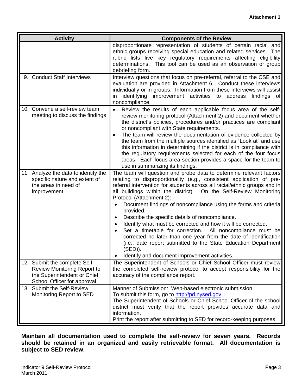| <b>Activity</b>                                                                                                                   | <b>Components of the Review</b>                                                                                                                                                                                                                                                                                                                                                                                                                                                                                                                                                                                                                                                                                                                                                                                |
|-----------------------------------------------------------------------------------------------------------------------------------|----------------------------------------------------------------------------------------------------------------------------------------------------------------------------------------------------------------------------------------------------------------------------------------------------------------------------------------------------------------------------------------------------------------------------------------------------------------------------------------------------------------------------------------------------------------------------------------------------------------------------------------------------------------------------------------------------------------------------------------------------------------------------------------------------------------|
|                                                                                                                                   | disproportionate representation of students of certain racial and<br>ethnic groups receiving special education and related services. The<br>rubric lists five key regulatory requirements affecting eligibility<br>determinations. This tool can be used as an observation or group<br>debriefing form.                                                                                                                                                                                                                                                                                                                                                                                                                                                                                                        |
| 9. Conduct Staff Interviews                                                                                                       | Interview questions that focus on pre-referral, referral to the CSE and<br>evaluation are provided in Attachment 6. Conduct these interviews<br>individually or in groups. Information from these interviews will assist<br>improvement activities to address<br>identifying<br>findings of<br>in<br>noncompliance.                                                                                                                                                                                                                                                                                                                                                                                                                                                                                            |
| 10. Convene a self-review team<br>meeting to discuss the findings                                                                 | Review the results of each applicable focus area of the self-<br>review monitoring protocol (Attachment 2) and document whether<br>the district's policies, procedures and/or practices are compliant<br>or noncompliant with State requirements.<br>The team will review the documentation of evidence collected by<br>$\bullet$<br>the team from the multiple sources identified as "Look at" and use<br>this information in determining if the district is in compliance with<br>the regulatory requirements selected for each of the four focus<br>areas. Each focus area section provides a space for the team to<br>use in summarizing its findings.                                                                                                                                                     |
| 11. Analyze the data to identify the<br>specific nature and extent of<br>the areas in need of<br>improvement                      | The team will question and probe data to determine relevant factors<br>relating to disproportionality (e.g., consistent application of pre-<br>referral intervention for students across all racial/ethnic groups and in<br>all buildings within the district). On the Self-Review Monitoring<br>Protocol (Attachment 2):<br>Document findings of noncompliance using the forms and criteria<br>provided.<br>Describe the specific details of noncompliance.<br>$\bullet$<br>Identify what must be corrected and how it will be corrected.<br>٠<br>Set a timetable for correction. All noncompliance must be<br>corrected no later than one year from the date of identification<br>(i.e., date report submitted to the State Education Department<br>(SED)).<br>Identify and document improvement activities. |
| 12. Submit the complete Self-<br><b>Review Monitoring Report to</b><br>the Superintendent or Chief<br>School Officer for approval | The Superintendent of Schools or Chief School Officer must review<br>the completed self-review protocol to accept responsibility for the<br>accuracy of the compliance report.                                                                                                                                                                                                                                                                                                                                                                                                                                                                                                                                                                                                                                 |
| 13. Submit the Self-Review<br>Monitoring Report to SED                                                                            | Manner of Submission: Web-based electronic submission<br>To submit this form, go to http://pd.nysed.gov<br>The Superintendent of Schools or Chief School Officer of the school<br>district must verify that the report provides accurate data and<br>information.<br>Print the report after submitting to SED for record-keeping purposes.                                                                                                                                                                                                                                                                                                                                                                                                                                                                     |

**Maintain all documentation used to complete the self-review for seven years. Records should be retained in an organized and easily retrievable format. All documentation is subject to SED review.**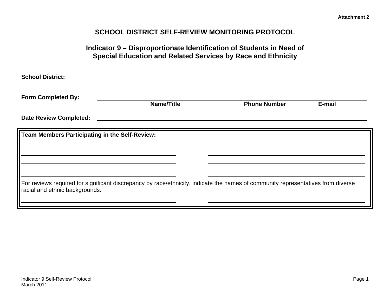# **SCHOOL DISTRICT SELF-REVIEW MONITORING PROTOCOL**

| <b>School District:</b>                        |            |                     |        |
|------------------------------------------------|------------|---------------------|--------|
| <b>Form Completed By:</b>                      | Name/Title | <b>Phone Number</b> | E-mail |
| <b>Date Review Completed:</b>                  |            |                     |        |
| Team Members Participating in the Self-Review: |            |                     |        |
|                                                |            |                     |        |
|                                                |            |                     |        |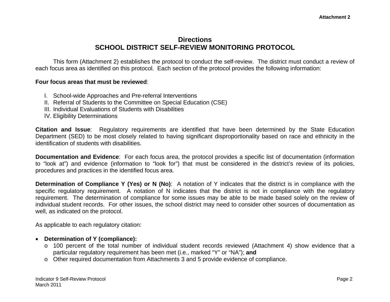# **Directions SCHOOL DISTRICT SELF-REVIEW MONITORING PROTOCOL**

 This form (Attachment 2) establishes the protocol to conduct the self-review. The district must conduct a review of each focus area as identified on this protocol. Each section of the protocol provides the following information:

#### **Four focus areas that must be reviewed**:

- I. School-wide Approaches and Pre-referral Interventions
- II. Referral of Students to the Committee on Special Education (CSE)
- III. Individual Evaluations of Students with Disabilities
- IV. Eligibility Determinations

**Citation and Issue**: Regulatory requirements are identified that have been determined by the State Education Department (SED) to be most closely related to having significant disproportionality based on race and ethnicity in the identification of students with disabilities.

**Documentation and Evidence**: For each focus area, the protocol provides a specific list of documentation (information to "look at") and evidence (information to "look for") that must be considered in the district's review of its policies, procedures and practices in the identified focus area.

**Determination of Compliance Y (Yes) or N (No)**: A notation of Y indicates that the district is in compliance with the specific regulatory requirement. A notation of N indicates that the district is not in compliance with the regulatory requirement. The determination of compliance for some issues may be able to be made based solely on the review of individual student records. For other issues, the school district may need to consider other sources of documentation as well, as indicated on the protocol.

As applicable to each regulatory citation:

- **Determination of Y (compliance):** 
	- <sup>o</sup> 100 percent of the total number of individual student records reviewed (Attachment 4) show evidence that a particular regulatory requirement has been met (i.e., marked "Y" or "NA"); **and**
	- <sup>o</sup> Other required documentation from Attachments 3 and 5 provide evidence of compliance.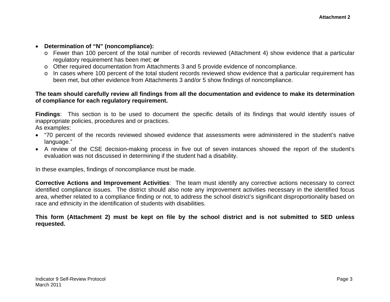#### • **Determination of "N" (noncompliance):**

- <sup>o</sup> Fewer than 100 percent of the total number of records reviewed (Attachment 4) show evidence that a particular regulatory requirement has been met; **or**
- <sup>o</sup> Other required documentation from Attachments 3 and 5 provide evidence of noncompliance.
- <sup>o</sup> In cases where 100 percent of the total student records reviewed show evidence that a particular requirement has been met, but other evidence from Attachments 3 and/or 5 show findings of noncompliance.

#### **The team should carefully review all findings from all the documentation and evidence to make its determination of compliance for each regulatory requirement.**

**Findings**: This section is to be used to document the specific details of its findings that would identify issues of inappropriate policies, procedures and or practices.

As examples:

- "70 percent of the records reviewed showed evidence that assessments were administered in the student's native language."
- A review of the CSE decision-making process in five out of seven instances showed the report of the student's evaluation was not discussed in determining if the student had a disability.

In these examples, findings of noncompliance must be made.

**Corrective Actions and Improvement Activities**: The team must identify any corrective actions necessary to correct identified compliance issues. The district should also note any improvement activities necessary in the identified focus area, whether related to a compliance finding or not, to address the school district's significant disproportionality based on race and ethnicity in the identification of students with disabilities.

**This form (Attachment 2) must be kept on file by the school district and is not submitted to SED unless requested.**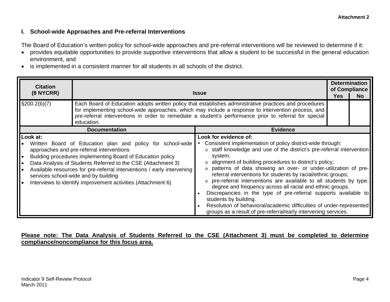#### **I. School-wide Approaches and Pre-referral Interventions**

The Board of Education's written policy for school-wide approaches and pre-referral interventions will be reviewed to determine if it:

- provides equitable opportunities to provide supportive interventions that allow a student to be successful in the general education environment, and
- is implemented in a consistent manner for all students in all schools of the district.

| <b>Citation</b><br>$(8$ NYCRR) | <b>Determination</b><br>of Compliance<br><b>Issue</b>                                                                                                                                                                                                                                                                                                                                                                   |                                                                                                                                                                                                                                                                                                                                                                                                                                                                                                                                                                                                                                                                                                                                          |  |  |  |  |  |  |
|--------------------------------|-------------------------------------------------------------------------------------------------------------------------------------------------------------------------------------------------------------------------------------------------------------------------------------------------------------------------------------------------------------------------------------------------------------------------|------------------------------------------------------------------------------------------------------------------------------------------------------------------------------------------------------------------------------------------------------------------------------------------------------------------------------------------------------------------------------------------------------------------------------------------------------------------------------------------------------------------------------------------------------------------------------------------------------------------------------------------------------------------------------------------------------------------------------------------|--|--|--|--|--|--|
| $\S200.2(b)(7)$                | Each Board of Education adopts written policy that establishes administrative practices and procedures<br>for implementing school-wide approaches, which may include a response to intervention process, and<br>pre-referral interventions in order to remediate a student's performance prior to referral for special<br>education.                                                                                    |                                                                                                                                                                                                                                                                                                                                                                                                                                                                                                                                                                                                                                                                                                                                          |  |  |  |  |  |  |
|                                | <b>Documentation</b><br><b>Evidence</b>                                                                                                                                                                                                                                                                                                                                                                                 |                                                                                                                                                                                                                                                                                                                                                                                                                                                                                                                                                                                                                                                                                                                                          |  |  |  |  |  |  |
| Look at:<br>$\bullet$          | Written Board of Education plan and policy for school-wide<br>approaches and pre-referral interventions<br>Building procedures implementing Board of Education policy<br>Data Analysis of Students Referred to the CSE (Attachment 3)<br>Available resources for pre-referral interventions / early intervening<br>services school-wide and by building<br>Interviews to identify improvement activities (Attachment 6) | Look for evidence of:<br>Consistent implementation of policy district-wide through:<br>staff knowledge and use of the district's pre-referral intervention<br>system;<br>alignment of building procedures to district's policy;<br>patterns of data showing an over- or under-utilization of pre-<br>referral interventions for students by racial/ethnic groups;<br>pre-referral interventions are available to all students by type,<br>degree and frequency across all racial and ethnic groups.<br>Discrepancies in the type of pre-referral supports available to<br>students by building.<br>Resolution of behavioral/academic difficulties of under-represented<br>groups as a result of pre-referral/early intervening services. |  |  |  |  |  |  |

#### **Please note: The Data Analysis of Students Referred to the CSE (Attachment 3) must be completed to determine compliance/noncompliance for this focus area.**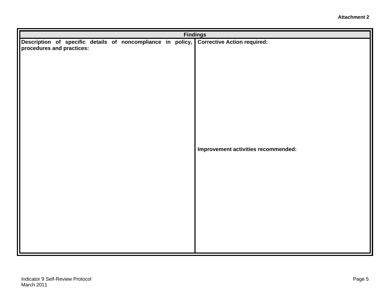|                           |  |  |  | <b>Findings</b>                                                                         |
|---------------------------|--|--|--|-----------------------------------------------------------------------------------------|
| procedures and practices: |  |  |  | Description of specific details of noncompliance in policy, Corrective Action required: |
|                           |  |  |  | Improvement activities recommended:                                                     |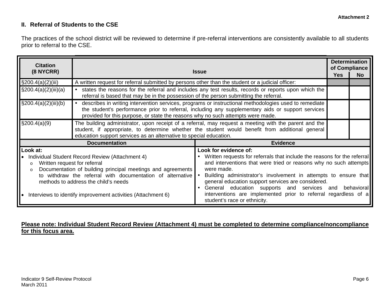#### **II. Referral of Students to the CSE**

The practices of the school district will be reviewed to determine if pre-referral interventions are consistently available to all students prior to referral to the CSE.

| <b>Citation</b><br>$(8$ NYCRR)                                   |                                                                                                                                                                                                                                                                                               |                                                                                                                                                                                                                                                                                                                                                                                                                                                                 |  |            |  |  | <b>Determination</b><br>of Compliance<br><b>Issue</b><br><b>Yes</b> |  |  |  |  |
|------------------------------------------------------------------|-----------------------------------------------------------------------------------------------------------------------------------------------------------------------------------------------------------------------------------------------------------------------------------------------|-----------------------------------------------------------------------------------------------------------------------------------------------------------------------------------------------------------------------------------------------------------------------------------------------------------------------------------------------------------------------------------------------------------------------------------------------------------------|--|------------|--|--|---------------------------------------------------------------------|--|--|--|--|
|                                                                  |                                                                                                                                                                                                                                                                                               |                                                                                                                                                                                                                                                                                                                                                                                                                                                                 |  |            |  |  |                                                                     |  |  |  |  |
| $\S200.4(a)(2)(iii)$                                             | A written request for referral submitted by persons other than the student or a judicial officer:                                                                                                                                                                                             |                                                                                                                                                                                                                                                                                                                                                                                                                                                                 |  |            |  |  |                                                                     |  |  |  |  |
| $\S200.4(a)(2)(iii)(a)$                                          |                                                                                                                                                                                                                                                                                               | states the reasons for the referral and includes any test results, records or reports upon which the<br>referral is based that may be in the possession of the person submitting the referral.                                                                                                                                                                                                                                                                  |  |            |  |  |                                                                     |  |  |  |  |
| $\S200.4(a)(2)(iii)(b)$                                          | describes in writing intervention services, programs or instructional methodologies used to remediate<br>the student's performance prior to referral, including any supplementary aids or support services<br>provided for this purpose, or state the reasons why no such attempts were made. |                                                                                                                                                                                                                                                                                                                                                                                                                                                                 |  |            |  |  |                                                                     |  |  |  |  |
| $\S200.4(a)(9)$                                                  | The building administrator, upon receipt of a referral, may request a meeting with the parent and the<br>student, if appropriate, to determine whether the student would benefit from additional general<br>education support services as an alternative to special education.                |                                                                                                                                                                                                                                                                                                                                                                                                                                                                 |  |            |  |  |                                                                     |  |  |  |  |
|                                                                  | <b>Documentation</b>                                                                                                                                                                                                                                                                          | <b>Evidence</b>                                                                                                                                                                                                                                                                                                                                                                                                                                                 |  |            |  |  |                                                                     |  |  |  |  |
| Look at:<br>Written request for referral<br>$\Omega$<br>$\Omega$ | Individual Student Record Review (Attachment 4)<br>Documentation of building principal meetings and agreements<br>to withdraw the referral with documentation of alternative<br>methods to address the child's needs<br>• Interviews to identify improvement activities (Attachment 6)        | Look for evidence of:<br>Written requests for referrals that include the reasons for the referral<br>and interventions that were tried or reasons why no such attempts<br>were made.<br>Building administrator's involvement in attempts to ensure that<br>general education support services are considered.<br>General education supports and services and<br>interventions are implemented prior to referral regardless of a<br>student's race or ethnicity. |  | behavioral |  |  |                                                                     |  |  |  |  |

#### **Please note: Individual Student Record Review (Attachment 4) must be completed to determine compliance/noncompliance for this focus area.**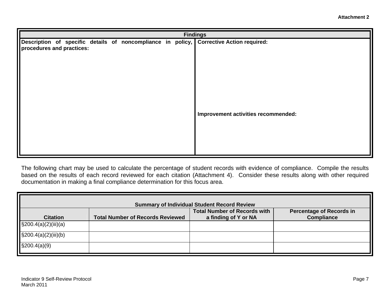|                           |  |  |  | <b>Findings</b>                                                                         |
|---------------------------|--|--|--|-----------------------------------------------------------------------------------------|
| procedures and practices: |  |  |  | Description of specific details of noncompliance in policy, Corrective Action required: |
|                           |  |  |  | Improvement activities recommended:                                                     |

The following chart may be used to calculate the percentage of student records with evidence of compliance. Compile the results based on the results of each record reviewed for each citation (Attachment 4). Consider these results along with other required documentation in making a final compliance determination for this focus area.

| <b>Summary of Individual Student Record Review</b> |                                         |                                                             |                                                      |  |  |  |  |
|----------------------------------------------------|-----------------------------------------|-------------------------------------------------------------|------------------------------------------------------|--|--|--|--|
| <b>Citation</b>                                    | <b>Total Number of Records Reviewed</b> | <b>Total Number of Records with</b><br>a finding of Y or NA | <b>Percentage of Records in</b><br><b>Compliance</b> |  |  |  |  |
| $\frac{1}{2}$ (3200.4(a)(2)(iii)(a)                |                                         |                                                             |                                                      |  |  |  |  |
| $\frac{1}{2}$ \$200.4(a)(2)(iii)(b)                |                                         |                                                             |                                                      |  |  |  |  |
|                                                    |                                         |                                                             |                                                      |  |  |  |  |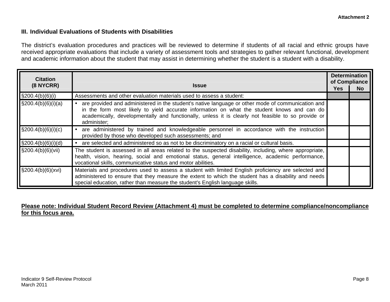#### **III. Individual Evaluations of Students with Disabilities**

The district's evaluation procedures and practices will be reviewed to determine if students of all racial and ethnic groups have received appropriate evaluations that include a variety of assessment tools and strategies to gather relevant functional, development and academic information about the student that may assist in determining whether the student is a student with a disability.

| <b>Citation</b><br>$(8$ NYCRR)    | <b>Issue</b>                                                                                                                                                                                                                                                                                                         |  |  |  |  |
|-----------------------------------|----------------------------------------------------------------------------------------------------------------------------------------------------------------------------------------------------------------------------------------------------------------------------------------------------------------------|--|--|--|--|
|                                   |                                                                                                                                                                                                                                                                                                                      |  |  |  |  |
| $\frac{1}{2}$ \$200.4(b)(6)(i)    | Assessments and other evaluation materials used to assess a student:                                                                                                                                                                                                                                                 |  |  |  |  |
| $\frac{1}{2}$ \$200.4(b)(6)(i)(a) | are provided and administered in the student's native language or other mode of communication and<br>in the form most likely to yield accurate information on what the student knows and can do<br>academically, developmentally and functionally, unless it is clearly not feasible to so provide or<br>administer; |  |  |  |  |
| $\frac{1}{2}$ \$200.4(b)(6)(i)(c) | are administered by trained and knowledgeable personnel in accordance with the instruction<br>provided by those who developed such assessments; and                                                                                                                                                                  |  |  |  |  |
| $\frac{1}{2}$ \$200.4(b)(6)(i)(d) | are selected and administered so as not to be discriminatory on a racial or cultural basis.                                                                                                                                                                                                                          |  |  |  |  |
| $\frac{1}{2}$ \$200.4(b)(6)(vii)  | The student is assessed in all areas related to the suspected disability, including, where appropriate,<br>health, vision, hearing, social and emotional status, general intelligence, academic performance,<br>vocational skills, communicative status and motor abilities.                                         |  |  |  |  |
| $\sqrt{\frac{200.4(b)(6)}{xv}}$   | Materials and procedures used to assess a student with limited English proficiency are selected and<br>administered to ensure that they measure the extent to which the student has a disability and needs<br>special education, rather than measure the student's English language skills.                          |  |  |  |  |

#### **Please note: Individual Student Record Review (Attachment 4) must be completed to determine compliance/noncompliance for this focus area.**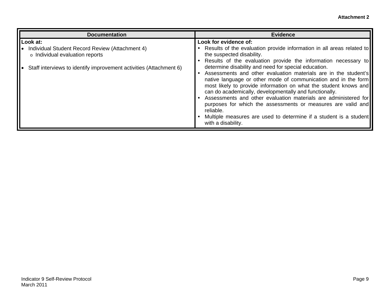| <b>Documentation</b>                                                                                                                                                       | <b>Evidence</b>                                                                                                                                                                                                                                                                                                                                                                                                                                                                                                                                                                                                                                                                                                                                                       |
|----------------------------------------------------------------------------------------------------------------------------------------------------------------------------|-----------------------------------------------------------------------------------------------------------------------------------------------------------------------------------------------------------------------------------------------------------------------------------------------------------------------------------------------------------------------------------------------------------------------------------------------------------------------------------------------------------------------------------------------------------------------------------------------------------------------------------------------------------------------------------------------------------------------------------------------------------------------|
| Look at:<br>Individual Student Record Review (Attachment 4)<br>$\circ$ Individual evaluation reports<br>Staff interviews to identify improvement activities (Attachment 6) | Look for evidence of:<br>Results of the evaluation provide information in all areas related to<br>the suspected disability.<br>Results of the evaluation provide the information necessary to<br>determine disability and need for special education.<br>Assessments and other evaluation materials are in the student's<br>native language or other mode of communication and in the form<br>most likely to provide information on what the student knows and<br>can do academically, developmentally and functionally.<br>• Assessments and other evaluation materials are administered for<br>purposes for which the assessments or measures are valid and<br>reliable.<br>Multiple measures are used to determine if a student is a student<br>with a disability. |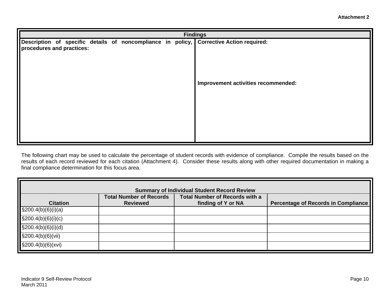|                           | <b>Findings</b> |  |  |  |  |  |  |                                                                                         |  |  |
|---------------------------|-----------------|--|--|--|--|--|--|-----------------------------------------------------------------------------------------|--|--|
|                           |                 |  |  |  |  |  |  | Description of specific details of noncompliance in policy, Corrective Action required: |  |  |
| procedures and practices: |                 |  |  |  |  |  |  |                                                                                         |  |  |
|                           |                 |  |  |  |  |  |  |                                                                                         |  |  |
|                           |                 |  |  |  |  |  |  |                                                                                         |  |  |
|                           |                 |  |  |  |  |  |  |                                                                                         |  |  |
|                           |                 |  |  |  |  |  |  | Improvement activities recommended:                                                     |  |  |
|                           |                 |  |  |  |  |  |  |                                                                                         |  |  |
|                           |                 |  |  |  |  |  |  |                                                                                         |  |  |
|                           |                 |  |  |  |  |  |  |                                                                                         |  |  |
|                           |                 |  |  |  |  |  |  |                                                                                         |  |  |
|                           |                 |  |  |  |  |  |  |                                                                                         |  |  |
|                           |                 |  |  |  |  |  |  |                                                                                         |  |  |

The following chart may be used to calculate the percentage of student records with evidence of compliance. Compile the results based on the results of each record reviewed for each citation (Attachment 4). Consider these results along with other required documentation in making a final compliance determination for this focus area.

| <b>Summary of Individual Student Record Review</b> |                                                   |                                                             |                                     |  |  |  |  |  |
|----------------------------------------------------|---------------------------------------------------|-------------------------------------------------------------|-------------------------------------|--|--|--|--|--|
| <b>Citation</b>                                    | <b>Total Number of Records</b><br><b>Reviewed</b> | <b>Total Number of Records with a</b><br>finding of Y or NA | Percentage of Records in Compliance |  |  |  |  |  |
| $\S 200.4(b)(6)(i)(a)$                             |                                                   |                                                             |                                     |  |  |  |  |  |
| $\S200.4(b)(6)(i)(c)$                              |                                                   |                                                             |                                     |  |  |  |  |  |
| $\S200.4(b)(6)(i)(d)$                              |                                                   |                                                             |                                     |  |  |  |  |  |
| $\S200.4(b)(6)(vii)$                               |                                                   |                                                             |                                     |  |  |  |  |  |
| $\S200.4(b)(6)(xvi)$                               |                                                   |                                                             |                                     |  |  |  |  |  |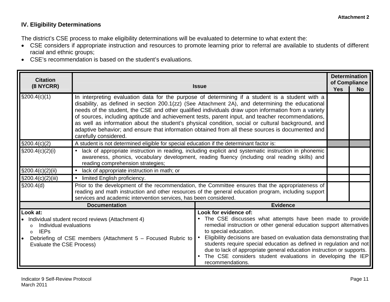#### **IV. Eligibility Determinations**

The district's CSE process to make eligibility determinations will be evaluated to determine to what extent the:

- CSE considers if appropriate instruction and resources to promote learning prior to referral are available to students of different racial and ethnic groups;
- CSE's recommendation is based on the student's evaluations.

| <b>Citation</b><br>$(8$ NYCRR)                                                            |                                                                                                                                                                                                                                                                                                                                                                                                                                                                                                                                                                                                                                                 | <b>Issue</b>                                                                                                                                                                                                                                                                                                                                                                                                                                                                                                 | <b>Determination</b> | of Compliance |
|-------------------------------------------------------------------------------------------|-------------------------------------------------------------------------------------------------------------------------------------------------------------------------------------------------------------------------------------------------------------------------------------------------------------------------------------------------------------------------------------------------------------------------------------------------------------------------------------------------------------------------------------------------------------------------------------------------------------------------------------------------|--------------------------------------------------------------------------------------------------------------------------------------------------------------------------------------------------------------------------------------------------------------------------------------------------------------------------------------------------------------------------------------------------------------------------------------------------------------------------------------------------------------|----------------------|---------------|
|                                                                                           |                                                                                                                                                                                                                                                                                                                                                                                                                                                                                                                                                                                                                                                 |                                                                                                                                                                                                                                                                                                                                                                                                                                                                                                              | <b>Yes</b>           | <b>No</b>     |
| $\S200.4(c)(1)$                                                                           | In interpreting evaluation data for the purpose of determining if a student is a student with a<br>disability, as defined in section 200.1(zz) (See Attachment 2A), and determining the educational<br>needs of the student, the CSE and other qualified individuals draw upon information from a variety<br>of sources, including aptitude and achievement tests, parent input, and teacher recommendations,<br>as well as information about the student's physical condition, social or cultural background, and<br>adaptive behavior; and ensure that information obtained from all these sources is documented and<br>carefully considered. |                                                                                                                                                                                                                                                                                                                                                                                                                                                                                                              |                      |               |
| \$200.4(c)(2)                                                                             | A student is not determined eligible for special education if the determinant factor is:                                                                                                                                                                                                                                                                                                                                                                                                                                                                                                                                                        |                                                                                                                                                                                                                                                                                                                                                                                                                                                                                                              |                      |               |
| $\S200.4(c)(2)(i)$                                                                        | lack of appropriate instruction in reading, including explicit and systematic instruction in phonemic<br>awareness, phonics, vocabulary development, reading fluency (including oral reading skills) and<br>reading comprehension strategies;                                                                                                                                                                                                                                                                                                                                                                                                   |                                                                                                                                                                                                                                                                                                                                                                                                                                                                                                              |                      |               |
| $\S200.4(c)(2)(ii)$                                                                       | lack of appropriate instruction in math; or                                                                                                                                                                                                                                                                                                                                                                                                                                                                                                                                                                                                     |                                                                                                                                                                                                                                                                                                                                                                                                                                                                                                              |                      |               |
| $\S200.4(c)(2)(iii)$                                                                      | limited English proficiency.                                                                                                                                                                                                                                                                                                                                                                                                                                                                                                                                                                                                                    |                                                                                                                                                                                                                                                                                                                                                                                                                                                                                                              |                      |               |
| \$200.4(d)                                                                                | services and academic intervention services, has been considered.                                                                                                                                                                                                                                                                                                                                                                                                                                                                                                                                                                               | Prior to the development of the recommendation, the Committee ensures that the appropriateness of<br>reading and math instruction and other resources of the general education program, including support                                                                                                                                                                                                                                                                                                    |                      |               |
|                                                                                           | <b>Documentation</b>                                                                                                                                                                                                                                                                                                                                                                                                                                                                                                                                                                                                                            | <b>Evidence</b>                                                                                                                                                                                                                                                                                                                                                                                                                                                                                              |                      |               |
| Look at:<br>Individual evaluations<br>$\circ$<br><b>IEPs</b><br>Evaluate the CSE Process) | Individual student record reviews (Attachment 4)<br>Debriefing of CSE members (Attachment 5 - Focused Rubric to                                                                                                                                                                                                                                                                                                                                                                                                                                                                                                                                 | Look for evidence of:<br>The CSE discusses what attempts have been made to provide<br>remedial instruction or other general education support alternatives<br>to special education.<br>Eligibility decisions are based on evaluation data demonstrating that<br>$\bullet$<br>students require special education as defined in regulation and not<br>due to lack of appropriate general education instruction or supports.<br>The CSE considers student evaluations in developing the IEP<br>recommendations. |                      |               |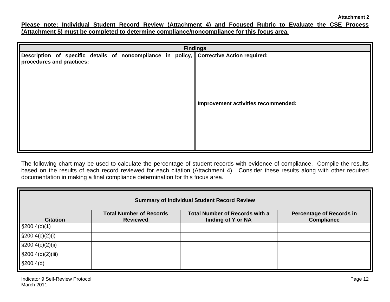**Please note: Individual Student Record Review (Attachment 4) and Focused Rubric to Evaluate the CSE Process (Attachment 5) must be completed to determine compliance/noncompliance for this focus area.**

|                           | <b>Findings</b> |  |  |  |  |  |  |                                                                                         |  |
|---------------------------|-----------------|--|--|--|--|--|--|-----------------------------------------------------------------------------------------|--|
| procedures and practices: |                 |  |  |  |  |  |  | Description of specific details of noncompliance in policy, Corrective Action required: |  |
|                           |                 |  |  |  |  |  |  | Improvement activities recommended:                                                     |  |

The following chart may be used to calculate the percentage of student records with evidence of compliance. Compile the results based on the results of each record reviewed for each citation (Attachment 4). Consider these results along with other required documentation in making a final compliance determination for this focus area.

| <b>Summary of Individual Student Record Review</b> |                                                   |                                                             |                                                      |  |  |  |  |
|----------------------------------------------------|---------------------------------------------------|-------------------------------------------------------------|------------------------------------------------------|--|--|--|--|
| <b>Citation</b>                                    | <b>Total Number of Records</b><br><b>Reviewed</b> | <b>Total Number of Records with a</b><br>finding of Y or NA | <b>Percentage of Records in</b><br><b>Compliance</b> |  |  |  |  |
| \$200.4(c)(1)                                      |                                                   |                                                             |                                                      |  |  |  |  |
| $\S200.4(c)(2)(i)$                                 |                                                   |                                                             |                                                      |  |  |  |  |
| $\$200.4(c)(2)(ii)$                                |                                                   |                                                             |                                                      |  |  |  |  |
| $\S 200.4(c)(2)(iii)$                              |                                                   |                                                             |                                                      |  |  |  |  |
| \$200.4(d)                                         |                                                   |                                                             |                                                      |  |  |  |  |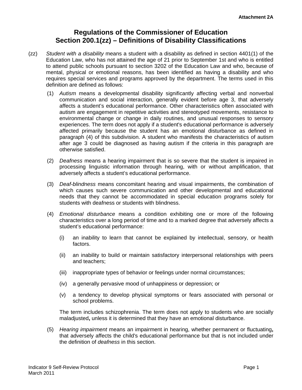# **Regulations of the Commissioner of Education Section 200.1(zz) – Definitions of Disability Classifications**

- (zz) *Student with a disability* means a student with a disability as defined in section 4401(1) of the Education Law, who has not attained the age of 21 prior to September 1st and who is entitled to attend public schools pursuant to section 3202 of the Education Law and who, because of mental, physical or emotional reasons, has been identified as having a disability and who requires special services and programs approved by the department. The terms used in this definition are defined as follows:
	- (1) *Autism* means a developmental disability significantly affecting verbal and nonverbal communication and social interaction, generally evident before age 3, that adversely affects a student's educational performance. Other characteristics often associated with autism are engagement in repetitive activities and stereotyped movements, resistance to environmental change or change in daily routines, and unusual responses to sensory experiences. The term does not apply if a student's educational performance is adversely affected primarily because the student has an emotional disturbance as defined in paragraph (4) of this subdivision. A student who manifests the characteristics of autism after age 3 could be diagnosed as having autism if the criteria in this paragraph are otherwise satisfied.
	- (2) *Deafness* means a hearing impairment that is so severe that the student is impaired in processing linguistic information through hearing, with or without amplification, that adversely affects a student's educational performance.
	- (3) *Deaf-blindness* means concomitant hearing and visual impairments, the combination of which causes such severe communication and other developmental and educational needs that they cannot be accommodated in special education programs solely for students with deafness or students with blindness.
	- (4) *Emotional disturbance* means a condition exhibiting one or more of the following characteristics over a long period of time and to a marked degree that adversely affects a student's educational performance:
		- (i) an inability to learn that cannot be explained by intellectual, sensory, or health factors.
		- (ii) an inability to build or maintain satisfactory interpersonal relationships with peers and teachers;
		- (iii) inappropriate types of behavior or feelings under normal circumstances;
		- (iv) a generally pervasive mood of unhappiness or depression; or
		- (v) a tendency to develop physical symptoms or fears associated with personal or school problems.

The term includes schizophrenia. The term does not apply to students who are socially maladjusted**,** unless it is determined that they have an emotional disturbance.

(5) *Hearing impairment* means an impairment in hearing, whether permanent or fluctuating**,**  that adversely affects the child's educational performance but that is not included under the definition of *deafness* in this section.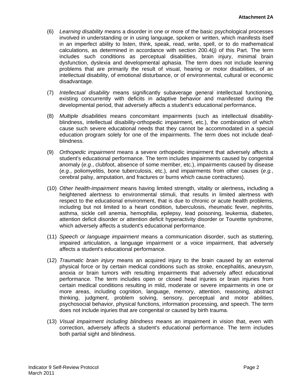- (6) *Learning disability* means a disorder in one or more of the basic psychological processes involved in understanding or in using language, spoken or written, which manifests itself in an imperfect ability to listen, think, speak, read, write, spell, or to do mathematical calculations, as determined in accordance with section 200.4(j) of this Part. The term includes such conditions as perceptual disabilities, brain injury, minimal brain dysfunction, dyslexia and developmental aphasia. The term does not include learning problems that are primarily the result of visual, hearing or motor disabilities, of an intellectual disability, of emotional disturbance, or of environmental, cultural or economic disadvantage.
- (7) *Intellectual disability* means significantly subaverage general intellectual functioning, existing concurrently with deficits in adaptive behavior and manifested during the developmental period, that adversely affects a student's educational performance**.**
- (8) *Multiple disabilities* means concomitant impairments (such as intellectual disabilityblindness, intellectual disability-orthopedic impairment, etc.), the combination of which cause such severe educational needs that they cannot be accommodated in a special education program solely for one of the impairments. The term does not include deafblindness.
- (9) *Orthopedic impairment* means a severe orthopedic impairment that adversely affects a student's educational performance. The term includes impairments caused by congenital anomaly (*e.g.*, clubfoot, absence of some member, etc.), impairments caused by disease (*e.g.*, poliomyelitis, bone tuberculosis, etc.), and impairments from other causes (*e.g.*, cerebral palsy, amputation, and fractures or burns which cause contractures).
- (10) *Other health-impairment* means having limited strength, vitality or alertness**,** including a heightened alertness to environmental stimuli, that results in limited alertness with respect to the educational environment, that is due to chronic or acute health problems, including but not limited to a heart condition, tuberculosis, rheumatic fever, nephritis, asthma, sickle cell anemia, hemophilia, epilepsy, lead poisoning, leukemia, diabetes, attention deficit disorder or attention deficit hyperactivity disorder or Tourette syndrome, which adversely affects a student's educational performance.
- (11) *Speech or language impairment* means a communication disorder, such as stuttering, impaired articulation, a language impairment or a voice impairment, that adversely affects a student's educational performance.
- (12) *Traumatic brain injury* means an acquired injury to the brain caused by an external physical force or by certain medical conditions such as stroke, encephalitis, aneurysm, anoxia or brain tumors with resulting impairments that adversely affect educational performance. The term includes open or closed head injuries or brain injuries from certain medical conditions resulting in mild, moderate or severe impairments in one or more areas, including cognition, language, memory, attention, reasoning, abstract thinking, judgment, problem solving, sensory, perceptual and motor abilities, psychosocial behavior, physical functions, information processing, and speech. The term does not include injuries that are congenital or caused by birth trauma.
- (13) *Visual impairment including blindness* means an impairment in vision that, even with correction, adversely affects a student's educational performance. The term includes both partial sight and blindness.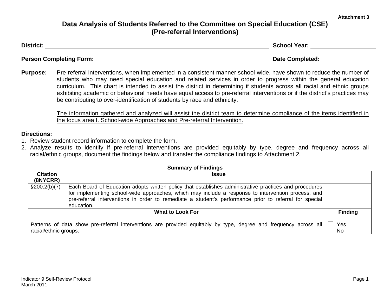#### **Attachment 3**

# **Data Analysis of Students Referred to the Committee on Special Education (CSE) (Pre-referral Interventions)**

| <b>District:</b>               | <b>School Year:</b>    |
|--------------------------------|------------------------|
|                                |                        |
| <b>Person Completing Form:</b> | <b>Date Completed:</b> |

**Purpose:** Pre-referral interventions, when implemented in a consistent manner school-wide, have shown to reduce the number of students who may need special education and related services in order to progress within the general education curriculum. This chart is intended to assist the district in determining if students across all racial and ethnic groups exhibiting academic or behavioral needs have equal access to pre-referral interventions or if the district's practices may be contributing to over-identification of students by race and ethnicity.

The information gathered and analyzed will assist the district team to determine compliance of the items identified in the focus area I. School-wide Approaches and Pre-referral Intervention.

#### **Directions:**

- 1. Review student record information to complete the form.
- 2. Analyze results to identify if pre-referral interventions are provided equitably by type, degree and frequency across all racial/ethnic groups, document the findings below and transfer the compliance findings to Attachment 2.

|                             | <b>Summary of Findings</b>                                                                                                                                                                                                                                                                                                           |                  |  |  |  |  |
|-----------------------------|--------------------------------------------------------------------------------------------------------------------------------------------------------------------------------------------------------------------------------------------------------------------------------------------------------------------------------------|------------------|--|--|--|--|
| <b>Citation</b><br>(8NYCRR) | <b>Issue</b>                                                                                                                                                                                                                                                                                                                         |                  |  |  |  |  |
| $\S200.2(b)(7)$             | Each Board of Education adopts written policy that establishes administrative practices and procedures<br>for implementing school-wide approaches, which may include a response to intervention process, and<br>pre-referral interventions in order to remediate a student's performance prior to referral for special<br>education. |                  |  |  |  |  |
|                             | <b>What to Look For</b>                                                                                                                                                                                                                                                                                                              | <b>Finding</b>   |  |  |  |  |
| racial/ethnic groups.       | Patterns of data show pre-referral interventions are provided equitably by type, degree and frequency across all                                                                                                                                                                                                                     | Yes<br><b>No</b> |  |  |  |  |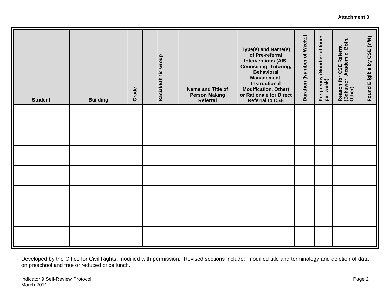#### **Attachment 3**

| <b>Student</b> | <b>Building</b> | Grade | Racial/Ethnic Group | Name and Title of<br><b>Person Making</b><br><b>Referral</b> | Type(s) and Name(s)<br>of Pre-referral<br><b>Interventions (AIS,</b><br><b>Counseling, Tutoring,</b><br><b>Behavioral</b><br>Management,<br>Instructional<br><b>Modification, Other)</b><br>or Rationale for Direct<br><b>Referral to CSE</b> | Duration (Number of Weeks) | Frequency (Number of times<br>per week) | Academic, Both,<br>Reason for CSE Referral<br>(Behavior, Academic, Bo<br>Other) | Found Eligible by CSE (Y/N) |
|----------------|-----------------|-------|---------------------|--------------------------------------------------------------|-----------------------------------------------------------------------------------------------------------------------------------------------------------------------------------------------------------------------------------------------|----------------------------|-----------------------------------------|---------------------------------------------------------------------------------|-----------------------------|
|                |                 |       |                     |                                                              |                                                                                                                                                                                                                                               |                            |                                         |                                                                                 |                             |
|                |                 |       |                     |                                                              |                                                                                                                                                                                                                                               |                            |                                         |                                                                                 |                             |
|                |                 |       |                     |                                                              |                                                                                                                                                                                                                                               |                            |                                         |                                                                                 |                             |
|                |                 |       |                     |                                                              |                                                                                                                                                                                                                                               |                            |                                         |                                                                                 |                             |
|                |                 |       |                     |                                                              |                                                                                                                                                                                                                                               |                            |                                         |                                                                                 |                             |
|                |                 |       |                     |                                                              |                                                                                                                                                                                                                                               |                            |                                         |                                                                                 |                             |
|                |                 |       |                     |                                                              |                                                                                                                                                                                                                                               |                            |                                         |                                                                                 |                             |

Developed by the Office for Civil Rights, modified with permission. Revised sections include: modified title and terminology and deletion of data on preschool and free or reduced price lunch.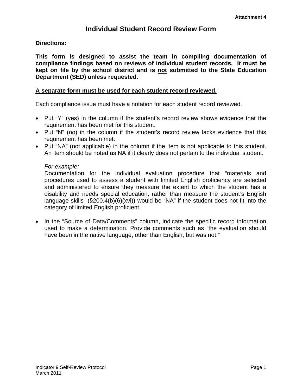# **Individual Student Record Review Form**

#### **Directions:**

**This form is designed to assist the team in compiling documentation of compliance findings based on reviews of individual student records. It must be kept on file by the school district and is not submitted to the State Education Department (SED) unless requested.** 

#### **A separate form must be used for each student record reviewed.**

Each compliance issue must have a notation for each student record reviewed.

- Put "Y" (yes) in the column if the student's record review shows evidence that the requirement has been met for this student.
- Put "N" (no) in the column if the student's record review lacks evidence that this requirement has been met.
- Put "NA" (not applicable) in the column if the item is not applicable to this student. An item should be noted as NA if it clearly does not pertain to the individual student.

#### *For example:*

 Documentation for the individual evaluation procedure that "materials and procedures used to assess a student with limited English proficiency are selected and administered to ensure they measure the extent to which the student has a disability and needs special education, rather than measure the student's English language skills" (§200.4(b)(6)(xvi)) would be "NA" if the student does not fit into the category of limited English proficient.

• In the "Source of Data/Comments" column, indicate the specific record information used to make a determination. Provide comments such as "the evaluation should have been in the native language, other than English, but was not."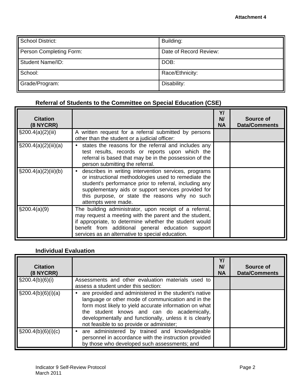| School District:        | Building:              |
|-------------------------|------------------------|
| Person Completing Form: | Date of Record Review: |
| <b>Student Name/ID:</b> | DOB:                   |
| School:                 | Race/Ethnicity:        |
| Grade/Program:          | Disability:            |

#### **Referral of Students to the Committee on Special Education (CSE)**

| <b>Citation</b><br>(8 NYCRR) |                                                                                                                                                                                                                                                                                                        | Y<br>N/<br><b>NA</b> | Source of<br><b>Data/Comments</b> |
|------------------------------|--------------------------------------------------------------------------------------------------------------------------------------------------------------------------------------------------------------------------------------------------------------------------------------------------------|----------------------|-----------------------------------|
| $\S200.4(a)(2)(iii)$         | A written request for a referral submitted by persons<br>other than the student or a judicial officer:                                                                                                                                                                                                 |                      |                                   |
| \$200.4(a)(2)(iii)(a)        | states the reasons for the referral and includes any<br>test results, records or reports upon which the<br>referral is based that may be in the possession of the<br>person submitting the referral.                                                                                                   |                      |                                   |
| $\S200.4(a)(2)(iii)(b)$      | describes in writing intervention services, programs<br>or instructional methodologies used to remediate the<br>student's performance prior to referral, including any<br>supplementary aids or support services provided for<br>this purpose, or state the reasons why no such<br>attempts were made. |                      |                                   |
| $\S200.4(a)(9)$              | The building administrator, upon receipt of a referral,<br>may request a meeting with the parent and the student,<br>if appropriate, to determine whether the student would<br>benefit from additional general education support<br>services as an alternative to special education.                   |                      |                                   |

#### **Individual Evaluation**

| <b>Citation</b><br>$(8$ NYCRR) |                                                                                                                                                                                                                                                                                                                            | Y/<br>N/<br><b>NA</b> | Source of<br><b>Data/Comments</b> |
|--------------------------------|----------------------------------------------------------------------------------------------------------------------------------------------------------------------------------------------------------------------------------------------------------------------------------------------------------------------------|-----------------------|-----------------------------------|
| $\S200.4(b)(6)(i)$             | Assessments and other evaluation materials used to<br>assess a student under this section:                                                                                                                                                                                                                                 |                       |                                   |
| $\frac{200.4(b)(6)(i)}{a}$     | are provided and administered in the student's native<br>language or other mode of communication and in the<br>form most likely to yield accurate information on what<br>the student knows and can do academically,<br>developmentally and functionally, unless it is clearly<br>not feasible to so provide or administer; |                       |                                   |
| $\frac{200.4(b)(6)(i)(c)}{2}$  | are administered by trained and knowledgeable<br>personnel in accordance with the instruction provided<br>by those who developed such assessments; and                                                                                                                                                                     |                       |                                   |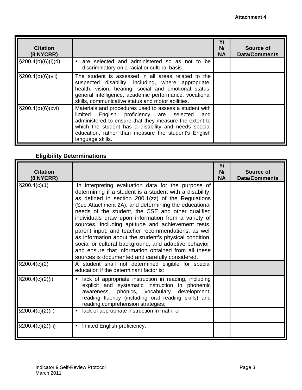| <b>Citation</b><br>$(8$ NYCRR) |                                                                                                                                                                                                                                                                                                            | Y<br>N/<br><b>NA</b> | Source of<br><b>Data/Comments</b> |
|--------------------------------|------------------------------------------------------------------------------------------------------------------------------------------------------------------------------------------------------------------------------------------------------------------------------------------------------------|----------------------|-----------------------------------|
| $\S200.4(b)(6)(i)(d)$          | are selected and administered so as not to be<br>discriminatory on a racial or cultural basis.                                                                                                                                                                                                             |                      |                                   |
| $\S 200.4(b)(6)(vii)$          | The student is assessed in all areas related to the<br>suspected disability, including, where appropriate,<br>health, vision, hearing, social and emotional status,<br>general intelligence, academic performance, vocational<br>skills, communicative status and motor abilities.                         |                      |                                   |
| $\S 200.4(b)(6)(xvi)$          | Materials and procedures used to assess a student with<br>English proficiency are selected<br>limited<br>and<br>administered to ensure that they measure the extent to<br>which the student has a disability and needs special<br>education, rather than measure the student's English<br>language skills. |                      |                                   |

### **Eligibility Determinations**

| <b>Citation</b><br>(8 NYCRR) |                                                                                                                                                                                                                                                                                                                                                                                                                                                                                                                                                                                                                                                                                   | Y/<br>N/<br><b>NA</b> | Source of<br><b>Data/Comments</b> |
|------------------------------|-----------------------------------------------------------------------------------------------------------------------------------------------------------------------------------------------------------------------------------------------------------------------------------------------------------------------------------------------------------------------------------------------------------------------------------------------------------------------------------------------------------------------------------------------------------------------------------------------------------------------------------------------------------------------------------|-----------------------|-----------------------------------|
| $\S200.4(c)(1)$              | In interpreting evaluation data for the purpose of<br>determining if a student is a student with a disability,<br>as defined in section 200.1(zz) of the Regulations<br>(See Attachment 2A), and determining the educational<br>needs of the student, the CSE and other qualified<br>individuals draw upon information from a variety of<br>sources, including aptitude and achievement tests,<br>parent input, and teacher recommendations, as well<br>as information about the student's physical condition,<br>social or cultural background, and adaptive behavior;<br>and ensure that information obtained from all these<br>sources is documented and carefully considered. |                       |                                   |
| \$200.4(c)(2)                | A student shall not determined eligible for special<br>education if the determinant factor is:                                                                                                                                                                                                                                                                                                                                                                                                                                                                                                                                                                                    |                       |                                   |
| $\S200.4(c)(2)(i)$           | lack of appropriate instruction in reading, including<br>explicit and systematic instruction in phonemic<br>awareness, phonics, vocabulary development,<br>reading fluency (including oral reading skills) and<br>reading comprehension strategies;                                                                                                                                                                                                                                                                                                                                                                                                                               |                       |                                   |
| $\S200.4(c)(2)(ii)$          | lack of appropriate instruction in math; or<br>$\bullet$                                                                                                                                                                                                                                                                                                                                                                                                                                                                                                                                                                                                                          |                       |                                   |
| $\S200.4(c)(2)(iii)$         | limited English proficiency.<br>$\bullet$                                                                                                                                                                                                                                                                                                                                                                                                                                                                                                                                                                                                                                         |                       |                                   |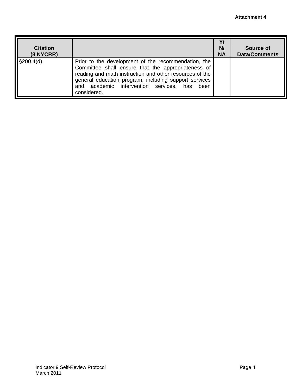| <b>Citation</b> |                                                                                                                                                                                                                                                                                                 | N/        | Source of            |
|-----------------|-------------------------------------------------------------------------------------------------------------------------------------------------------------------------------------------------------------------------------------------------------------------------------------------------|-----------|----------------------|
| (8 NYCRR)       |                                                                                                                                                                                                                                                                                                 | <b>NA</b> | <b>Data/Comments</b> |
| \$200.4(d)      | Prior to the development of the recommendation, the<br>Committee shall ensure that the appropriateness of<br>reading and math instruction and other resources of the<br>general education program, including support services<br>and academic intervention services, has<br>been<br>considered. |           |                      |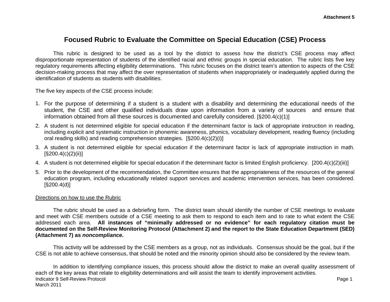### **Focused Rubric to Evaluate the Committee on Special Education (CSE) Process**

This rubric is designed to be used as a tool by the district to assess how the district's CSE process may affect disproportionate representation of students of the identified racial and ethnic groups in special education. The rubric lists five key regulatory requirements affecting eligibility determinations. This rubric focuses on the district team's attention to aspects of the CSE decision-making process that may affect the over representation of students when inappropriately or inadequately applied during the identification of students as students with disabilities.

The five key aspects of the CSE process include:

- 1. For the purpose of determining if a student is a student with a disability and determining the educational needs of the student, the CSE and other qualified individuals draw upon information from a variety of sources and ensure that information obtained from all these sources is documented and carefully considered. [§200.4(c)(1)]
- 2. A student is not determined eligible for special education if the determinant factor is lack of appropriate instruction in reading, including explicit and systematic instruction in phonemic awareness, phonics, vocabulary development, reading fluency (including oral reading skills) and reading comprehension strategies. [§200.4(c)(2)(i)]
- 3. A student is not determined eligible for special education if the determinant factor is lack of appropriate instruction in math.  $[\$200.4(c)(2)(ii)]$
- 4. A student is not determined eligible for special education if the determinant factor is limited English proficiency. [200.4(c)(2)(iii)]
- 5. Prior to the development of the recommendation, the Committee ensures that the appropriateness of the resources of the general education program, including educationally related support services and academic intervention services, has been considered. [§200.4(d)]

#### Directions on how to use the Rubric

 The rubric should be used as a debriefing form. The district team should identify the number of CSE meetings to evaluate and meet with CSE members outside of a CSE meeting to ask them to respond to each item and to rate to what extent the CSE addressed each area. **All instances of "minimally addressed or no evidence" for each regulatory citation must be documented on the Self-Review Monitoring Protocol (Attachment 2) and the report to the State Education Department (SED) (Attachment 7) as** *noncompliance***.** 

 This activity will be addressed by the CSE members as a group, not as individuals. Consensus should be the goal, but if the CSE is not able to achieve consensus, that should be noted and the minority opinion should also be considered by the review team.

Indicator 9 Self-Review Protocol Page 1 March 2011 In addition to identifying compliance issues, this process should allow the district to make an overall quality assessment of each of the key areas that relate to eligibility determinations and will assist the team to identify improvement activities.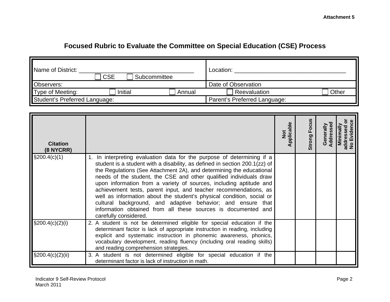# **Focused Rubric to Evaluate the Committee on Special Education (CSE) Process**

| Name of District:             | <b>CSE</b> | Subcommittee | Location:                    |       |
|-------------------------------|------------|--------------|------------------------------|-------|
| Observers:                    |            |              | Date of Observation          |       |
| Type of Meeting:              | Initial    | Annual       | Reevaluation                 | Other |
| Student's Preferred Language: |            |              | Parent's Preferred Language: |       |

| <b>Citation</b><br>$(8$ NYCRR) |                                                                                                                                                                                                                                                                                                                                                                                                                                                                                                                                                                                                                                                                                | Not<br>pplicable | Foc<br>Strong | enerally<br>Address |  |
|--------------------------------|--------------------------------------------------------------------------------------------------------------------------------------------------------------------------------------------------------------------------------------------------------------------------------------------------------------------------------------------------------------------------------------------------------------------------------------------------------------------------------------------------------------------------------------------------------------------------------------------------------------------------------------------------------------------------------|------------------|---------------|---------------------|--|
| $\S200.4(c)(1)$                | 1. In interpreting evaluation data for the purpose of determining if a<br>student is a student with a disability, as defined in section 200.1(zz) of<br>the Regulations (See Attachment 2A), and determining the educational<br>needs of the student, the CSE and other qualified individuals draw<br>upon information from a variety of sources, including aptitude and<br>achievement tests, parent input, and teacher recommendations, as<br>well as information about the student's physical condition, social or<br>cultural background, and adaptive behavior; and ensure that<br>information obtained from all these sources is documented and<br>carefully considered. |                  |               |                     |  |
| $\S200.4(c)(2)(i)$             | 2. A student is not be determined eligible for special education if the<br>determinant factor is lack of appropriate instruction in reading, including<br>explicit and systematic instruction in phonemic awareness, phonics,<br>vocabulary development, reading fluency (including oral reading skills)<br>and reading comprehension strategies.                                                                                                                                                                                                                                                                                                                              |                  |               |                     |  |
| $\S200.4(c)(2)(ii)$            | 3. A student is not determined eligible for special education if the<br>determinant factor is lack of instruction in math.                                                                                                                                                                                                                                                                                                                                                                                                                                                                                                                                                     |                  |               |                     |  |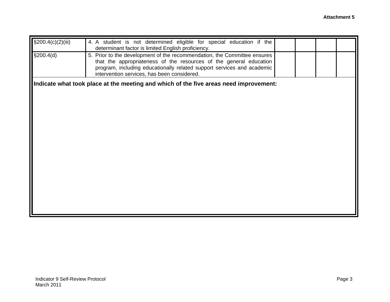| \$200.4(c)(2)(iii) | 4. A student is not determined eligible for special education if the<br>determinant factor is limited English proficiency.                                                                                                                                              |  |  |
|--------------------|-------------------------------------------------------------------------------------------------------------------------------------------------------------------------------------------------------------------------------------------------------------------------|--|--|
| \$200.4(d)         | 5. Prior to the development of the recommendation, the Committee ensures<br>that the appropriateness of the resources of the general education<br>program, including educationally related support services and academic<br>intervention services, has been considered. |  |  |
|                    | Indicate what took place at the meeting and which of the five areas need improvement:                                                                                                                                                                                   |  |  |
|                    |                                                                                                                                                                                                                                                                         |  |  |
|                    |                                                                                                                                                                                                                                                                         |  |  |
|                    |                                                                                                                                                                                                                                                                         |  |  |
|                    |                                                                                                                                                                                                                                                                         |  |  |
|                    |                                                                                                                                                                                                                                                                         |  |  |
|                    |                                                                                                                                                                                                                                                                         |  |  |
|                    |                                                                                                                                                                                                                                                                         |  |  |
|                    |                                                                                                                                                                                                                                                                         |  |  |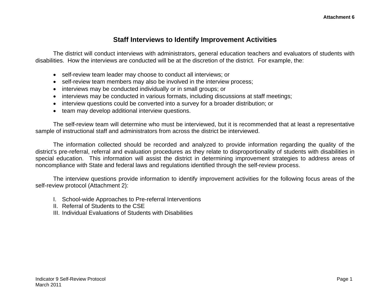# **Staff Interviews to Identify Improvement Activities**

 The district will conduct interviews with administrators, general education teachers and evaluators of students with disabilities. How the interviews are conducted will be at the discretion of the district. For example, the:

- self-review team leader may choose to conduct all interviews; or
- self-review team members may also be involved in the interview process;
- interviews may be conducted individually or in small groups; or
- interviews may be conducted in various formats, including discussions at staff meetings;
- interview questions could be converted into a survey for a broader distribution; or
- team may develop additional interview questions.

 The self-review team will determine who must be interviewed, but it is recommended that at least a representative sample of instructional staff and administrators from across the district be interviewed.

 The information collected should be recorded and analyzed to provide information regarding the quality of the district's pre-referral, referral and evaluation procedures as they relate to disproportionality of students with disabilities in special education. This information will assist the district in determining improvement strategies to address areas of noncompliance with State and federal laws and regulations identified through the self-review process.

 The interview questions provide information to identify improvement activities for the following focus areas of the self-review protocol (Attachment 2):

- I. School-wide Approaches to Pre-referral Interventions
- II. Referral of Students to the CSE
- III. Individual Evaluations of Students with Disabilities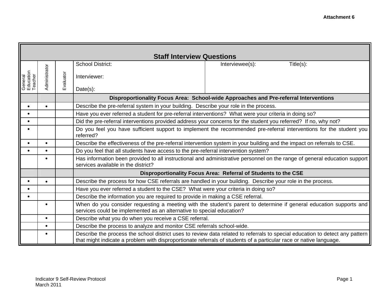|                                 | <b>Staff Interview Questions</b> |                                                                                                                                                                                             |                                                                                                                                                                                                                                                      |                                                                |           |  |  |
|---------------------------------|----------------------------------|---------------------------------------------------------------------------------------------------------------------------------------------------------------------------------------------|------------------------------------------------------------------------------------------------------------------------------------------------------------------------------------------------------------------------------------------------------|----------------------------------------------------------------|-----------|--|--|
|                                 |                                  |                                                                                                                                                                                             | <b>School District:</b>                                                                                                                                                                                                                              | Interviewee(s):                                                | Title(s): |  |  |
| General<br>Education<br>Teacher | Administrator                    | Evaluator                                                                                                                                                                                   | Interviewer:                                                                                                                                                                                                                                         |                                                                |           |  |  |
|                                 |                                  |                                                                                                                                                                                             | $Date(s)$ :                                                                                                                                                                                                                                          |                                                                |           |  |  |
|                                 |                                  |                                                                                                                                                                                             | Disproportionality Focus Area: School-wide Approaches and Pre-referral Interventions                                                                                                                                                                 |                                                                |           |  |  |
| $\bullet$                       |                                  |                                                                                                                                                                                             | Describe the pre-referral system in your building. Describe your role in the process.                                                                                                                                                                |                                                                |           |  |  |
| $\bullet$                       |                                  |                                                                                                                                                                                             | Have you ever referred a student for pre-referral interventions? What were your criteria in doing so?                                                                                                                                                |                                                                |           |  |  |
|                                 |                                  |                                                                                                                                                                                             | Did the pre-referral interventions provided address your concerns for the student you referred? If no, why not?                                                                                                                                      |                                                                |           |  |  |
|                                 |                                  |                                                                                                                                                                                             | Do you feel you have sufficient support to implement the recommended pre-referral interventions for the student you<br>referred?                                                                                                                     |                                                                |           |  |  |
|                                 |                                  |                                                                                                                                                                                             | Describe the effectiveness of the pre-referral intervention system in your building and the impact on referrals to CSE.                                                                                                                              |                                                                |           |  |  |
|                                 |                                  |                                                                                                                                                                                             | Do you feel that all students have access to the pre-referral intervention system?                                                                                                                                                                   |                                                                |           |  |  |
|                                 |                                  |                                                                                                                                                                                             | Has information been provided to all instructional and administrative personnel on the range of general education support<br>services available in the district?                                                                                     |                                                                |           |  |  |
|                                 |                                  |                                                                                                                                                                                             |                                                                                                                                                                                                                                                      | Disproportionality Focus Area: Referral of Students to the CSE |           |  |  |
|                                 |                                  |                                                                                                                                                                                             | Describe the process for how CSE referrals are handled in your building. Describe your role in the process.                                                                                                                                          |                                                                |           |  |  |
|                                 |                                  |                                                                                                                                                                                             | Have you ever referred a student to the CSE? What were your criteria in doing so?                                                                                                                                                                    |                                                                |           |  |  |
|                                 |                                  |                                                                                                                                                                                             | Describe the information you are required to provide in making a CSE referral.                                                                                                                                                                       |                                                                |           |  |  |
|                                 |                                  | When do you consider requesting a meeting with the student's parent to determine if general education supports and<br>services could be implemented as an alternative to special education? |                                                                                                                                                                                                                                                      |                                                                |           |  |  |
|                                 | $\bullet$                        |                                                                                                                                                                                             | Describe what you do when you receive a CSE referral.                                                                                                                                                                                                |                                                                |           |  |  |
|                                 | $\bullet$                        |                                                                                                                                                                                             | Describe the process to analyze and monitor CSE referrals school-wide.                                                                                                                                                                               |                                                                |           |  |  |
|                                 |                                  |                                                                                                                                                                                             | Describe the process the school district uses to review data related to referrals to special education to detect any pattern  <br>that might indicate a problem with disproportionate referrals of students of a particular race or native language. |                                                                |           |  |  |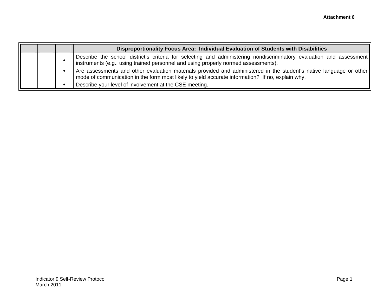|  | Disproportionality Focus Area: Individual Evaluation of Students with Disabilities                                                                                                                                     |
|--|------------------------------------------------------------------------------------------------------------------------------------------------------------------------------------------------------------------------|
|  | Describe the school district's criteria for selecting and administering nondiscriminatory evaluation and assessment<br>instruments (e.g., using trained personnel and using properly normed assessments).              |
|  | Are assessments and other evaluation materials provided and administered in the student's native language or other<br>mode of communication in the form most likely to yield accurate information? If no, explain why. |
|  | Describe your level of involvement at the CSE meeting.                                                                                                                                                                 |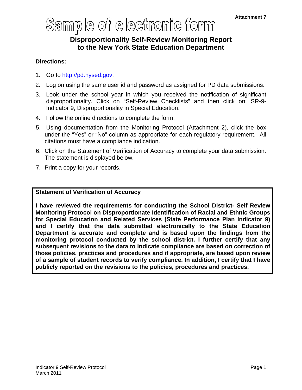# Sample of electronic form

# **Disproportionality Self-Review Monitoring Report to the New York State Education Department**

#### **Directions:**

- 1. Go to [http://pd.nysed.gov.](http://pd.nysed.gov/)
- 2. Log on using the same user id and password as assigned for PD data submissions.
- 3. Look under the school year in which you received the notification of significant disproportionality. Click on "Self-Review Checklists" and then click on: SR-9- Indicator 9, Disproportionality in Special Education.
- 4. Follow the online directions to complete the form.
- 5. Using documentation from the Monitoring Protocol (Attachment 2), click the box under the "Yes" or "No" column as appropriate for each regulatory requirement. All citations must have a compliance indication.
- 6. Click on the Statement of Verification of Accuracy to complete your data submission. The statement is displayed below.
- 7. Print a copy for your records.

#### **Statement of Verification of Accuracy**

**I have reviewed the requirements for conducting the School District- Self Review Monitoring Protocol on Disproportionate Identification of Racial and Ethnic Groups for Special Education and Related Services (State Performance Plan Indicator 9) and I certify that the data submitted electronically to the State Education Department is accurate and complete and is based upon the findings from the monitoring protocol conducted by the school district. I further certify that any subsequent revisions to the data to indicate compliance are based on correction of those policies, practices and procedures and if appropriate, are based upon review of a sample of student records to verify compliance. In addition, I certify that I have publicly reported on the revisions to the policies, procedures and practices.**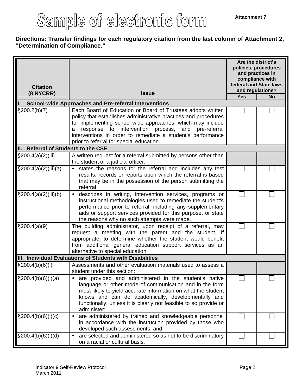# Sample of electronic form

#### **Directions: Transfer findings for each regulatory citation from the last column of Attachment 2, "Determination of Compliance."**

| <b>Citation</b><br>(8 NYCRR)        | <b>Issue</b>                                                                                                                                                                                                                                                                                                                                                       | Are the district's<br>policies, procedures<br>and practices in<br>compliance with<br>federal and State laws<br>and regulations? |           |  |
|-------------------------------------|--------------------------------------------------------------------------------------------------------------------------------------------------------------------------------------------------------------------------------------------------------------------------------------------------------------------------------------------------------------------|---------------------------------------------------------------------------------------------------------------------------------|-----------|--|
|                                     |                                                                                                                                                                                                                                                                                                                                                                    | <b>Yes</b>                                                                                                                      | <b>No</b> |  |
|                                     | <b>School-wide Approaches and Pre-referral Interventions</b>                                                                                                                                                                                                                                                                                                       |                                                                                                                                 |           |  |
| $\S200.2(b)(7)$                     | Each Board of Education or Board of Trustees adopts written<br>policy that establishes administrative practices and procedures<br>for implementing school-wide approaches, which may include<br>response to intervention process, and pre-referral<br>a<br>interventions in order to remediate a student's performance<br>prior to referral for special education. |                                                                                                                                 |           |  |
| II. Referral of Students to the CSE |                                                                                                                                                                                                                                                                                                                                                                    |                                                                                                                                 |           |  |
| $\S200.4(a)(2)(iii)$                | A written request for a referral submitted by persons other than<br>the student or a judicial officer:                                                                                                                                                                                                                                                             |                                                                                                                                 |           |  |
| $\S200.4(a)(2)(iii)(a)$             | states the reasons for the referral and includes any test<br>results, records or reports upon which the referral is based<br>that may be in the possession of the person submitting the<br>referral.                                                                                                                                                               |                                                                                                                                 |           |  |
| $\S200.4(a)(2)(iii)(b)$             | describes in writing, intervention services, programs or<br>$\bullet$<br>instructional methodologies used to remediate the student's<br>performance prior to referral, including any supplementary<br>aids or support services provided for this purpose, or state<br>the reasons why no such attempts were made.                                                  |                                                                                                                                 |           |  |
| $\S200.4(a)(9)$                     | The building administrator, upon receipt of a referral, may<br>request a meeting with the parent and the student, if<br>appropriate, to determine whether the student would benefit<br>from additional general education support services as an<br>alternative to special education.                                                                               |                                                                                                                                 |           |  |
|                                     | III. Individual Evaluations of Students with Disabilities                                                                                                                                                                                                                                                                                                          |                                                                                                                                 |           |  |
| $\S200.4(b)(6)(i)$                  | Assessments and other evaluation materials used to assess a<br>student under this section:                                                                                                                                                                                                                                                                         |                                                                                                                                 |           |  |
| \$200.4(b)(6)(i)(a)                 | are provided and administered in the student's native<br>language or other mode of communication and in the form<br>most likely to yield accurate information on what the student<br>knows and can do academically, developmentally and<br>functionally, unless it is clearly not feasible to so provide or<br>administer;                                         |                                                                                                                                 |           |  |
| $\S200.4(b)(6)(i)(c)$               | are administered by trained and knowledgeable personnel<br>$\bullet$<br>in accordance with the instruction provided by those who<br>developed such assessments; and                                                                                                                                                                                                |                                                                                                                                 |           |  |
| $\S200.4(b)(6)(i)(d)$               | are selected and administered so as not to be discriminatory<br>on a racial or cultural basis.                                                                                                                                                                                                                                                                     |                                                                                                                                 |           |  |